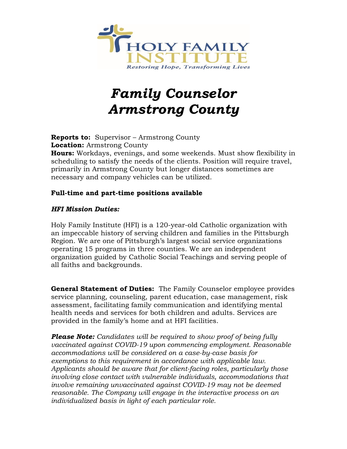

# *Family Counselor Armstrong County*

**Reports to:** Supervisor – Armstrong County **Location:** Armstrong County **Hours:** Workdays, evenings, and some weekends. Must show flexibility in scheduling to satisfy the needs of the clients. Position will require travel, primarily in Armstrong County but longer distances sometimes are necessary and company vehicles can be utilized.

## **Full-time and part-time positions available**

## *HFI Mission Duties:*

Holy Family Institute (HFI) is a 120-year-old Catholic organization with an impeccable history of serving children and families in the Pittsburgh Region. We are one of Pittsburgh's largest social service organizations operating 15 programs in three counties. We are an independent organization guided by Catholic Social Teachings and serving people of all faiths and backgrounds.

**General Statement of Duties:** The Family Counselor employee provides service planning, counseling, parent education, case management, risk assessment, facilitating family communication and identifying mental health needs and services for both children and adults. Services are provided in the family's home and at HFI facilities.

*Please Note: Candidates will be required to show proof of being fully vaccinated against COVID-19 upon commencing employment. Reasonable accommodations will be considered on a case-by-case basis for exemptions to this requirement in accordance with applicable law. Applicants should be aware that for client-facing roles, particularly those involving close contact with vulnerable individuals, accommodations that involve remaining unvaccinated against COVID-19 may not be deemed reasonable. The Company will engage in the interactive process on an individualized basis in light of each particular role.*